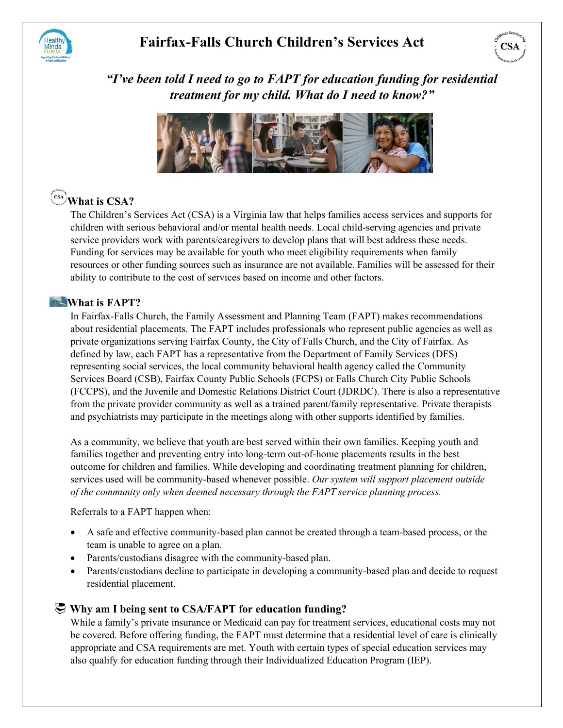

## **Fairfax-Falls Church Children's Services Act**



### *"I've been told I need to go to FAPT for education funding for residential treatment for my child. What do I need to know?"*



# **What is CSA?**

The Children's Services Act (CSA) is a Virginia law that helps families access services and supports for children with serious behavioral and/or mental health needs. Local child-serving agencies and private service providers work with parents/caregivers to develop plans that will best address these needs. Funding for services may be available for youth who meet eligibility requirements when family resources or other funding sources such as insurance are not available. Families will be assessed for their ability to contribute to the cost of services based on income and other factors.

### **What is FAPT?**

In Fairfax-Falls Church, the Family Assessment and Planning Team (FAPT) makes recommendations about residential placements. The FAPT includes professionals who represent public agencies as well as private organizations serving Fairfax County, the City of Falls Church, and the City of Fairfax. As defined by law, each FAPT has a representative from the Department of Family Services (DFS) representing social services, the local community behavioral health agency called the Community Services Board (CSB), Fairfax County Public Schools (FCPS) or Falls Church City Public Schools (FCCPS), and the Juvenile and Domestic Relations District Court (JDRDC). There is also a representative from the private provider community as well as a trained parent/family representative. Private therapists and psychiatrists may participate in the meetings along with other supports identified by families.

As a community, we believe that youth are best served within their own families. Keeping youth and families together and preventing entry into long-term out-of-home placements results in the best outcome for children and families. While developing and coordinating treatment planning for children, services used will be community-based whenever possible. *Our system will support placement outside of the community only when deemed necessary through the FAPT service planning process.* 

Referrals to a FAPT happen when:

- A safe and effective community-based plan cannot be created through a team-based process, or the team is unable to agree on a plan.
- Parents/custodians disagree with the community-based plan.
- Parents/custodians decline to participate in developing a community-based plan and decide to request residential placement.

### **Why am I being sent to CSA/FAPT for education funding?**

While a family's private insurance or Medicaid can pay for treatment services, educational costs may not be covered. Before offering funding, the FAPT must determine that a residential level of care is clinically appropriate and CSA requirements are met. Youth with certain types of special education services may also qualify for education funding through their Individualized Education Program (IEP).